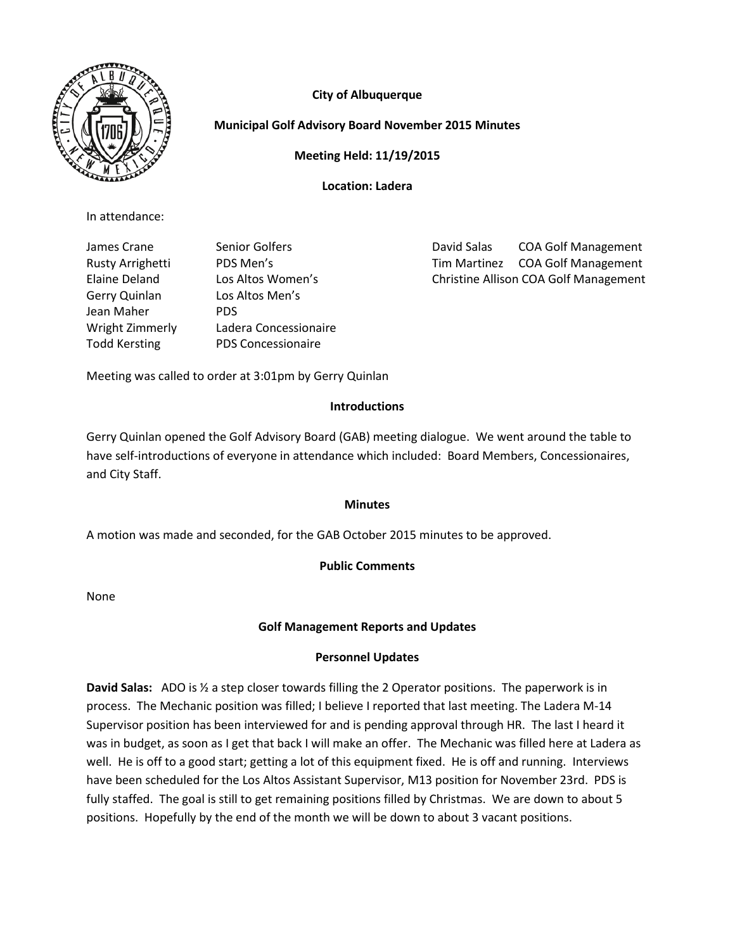



# **Municipal Golf Advisory Board November 2015 Minutes**

**Meeting Held: 11/19/2015**

**Location: Ladera**

In attendance:

Gerry Quinlan Los Altos Men's Jean Maher PDS Wright Zimmerly Ladera Concessionaire Todd Kersting PDS Concessionaire

James Crane **Senior Golfers COA Golf Management** Rusty Arrighetti PDS Men's Tim Martinez COA Golf Management Elaine Deland Los Altos Women's Christine Allison COA Golf Management

Meeting was called to order at 3:01pm by Gerry Quinlan

### **Introductions**

Gerry Quinlan opened the Golf Advisory Board (GAB) meeting dialogue. We went around the table to have self-introductions of everyone in attendance which included: Board Members, Concessionaires, and City Staff.

#### **Minutes**

A motion was made and seconded, for the GAB October 2015 minutes to be approved.

## **Public Comments**

None

## **Golf Management Reports and Updates**

## **Personnel Updates**

**David Salas:** ADO is ½ a step closer towards filling the 2 Operator positions. The paperwork is in process. The Mechanic position was filled; I believe I reported that last meeting. The Ladera M-14 Supervisor position has been interviewed for and is pending approval through HR. The last I heard it was in budget, as soon as I get that back I will make an offer. The Mechanic was filled here at Ladera as well. He is off to a good start; getting a lot of this equipment fixed. He is off and running. Interviews have been scheduled for the Los Altos Assistant Supervisor, M13 position for November 23rd. PDS is fully staffed. The goal is still to get remaining positions filled by Christmas. We are down to about 5 positions. Hopefully by the end of the month we will be down to about 3 vacant positions.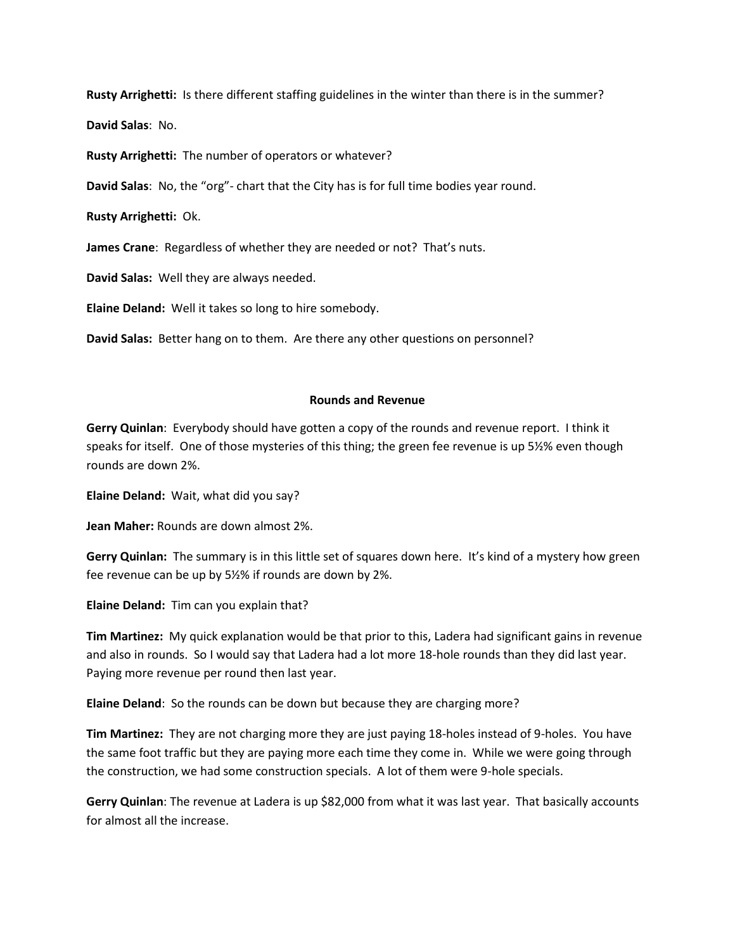**Rusty Arrighetti:** Is there different staffing guidelines in the winter than there is in the summer?

**David Salas**: No.

**Rusty Arrighetti:** The number of operators or whatever?

**David Salas**: No, the "org"- chart that the City has is for full time bodies year round.

**Rusty Arrighetti:** Ok.

**James Crane**: Regardless of whether they are needed or not? That's nuts.

**David Salas:** Well they are always needed.

**Elaine Deland:** Well it takes so long to hire somebody.

**David Salas:** Better hang on to them. Are there any other questions on personnel?

#### **Rounds and Revenue**

**Gerry Quinlan**: Everybody should have gotten a copy of the rounds and revenue report. I think it speaks for itself. One of those mysteries of this thing; the green fee revenue is up 5½% even though rounds are down 2%.

**Elaine Deland:** Wait, what did you say?

**Jean Maher:** Rounds are down almost 2%.

**Gerry Quinlan:** The summary is in this little set of squares down here. It's kind of a mystery how green fee revenue can be up by 5½% if rounds are down by 2%.

**Elaine Deland:** Tim can you explain that?

**Tim Martinez:** My quick explanation would be that prior to this, Ladera had significant gains in revenue and also in rounds. So I would say that Ladera had a lot more 18-hole rounds than they did last year. Paying more revenue per round then last year.

**Elaine Deland**: So the rounds can be down but because they are charging more?

**Tim Martinez:** They are not charging more they are just paying 18-holes instead of 9-holes. You have the same foot traffic but they are paying more each time they come in. While we were going through the construction, we had some construction specials. A lot of them were 9-hole specials.

**Gerry Quinlan**: The revenue at Ladera is up \$82,000 from what it was last year. That basically accounts for almost all the increase.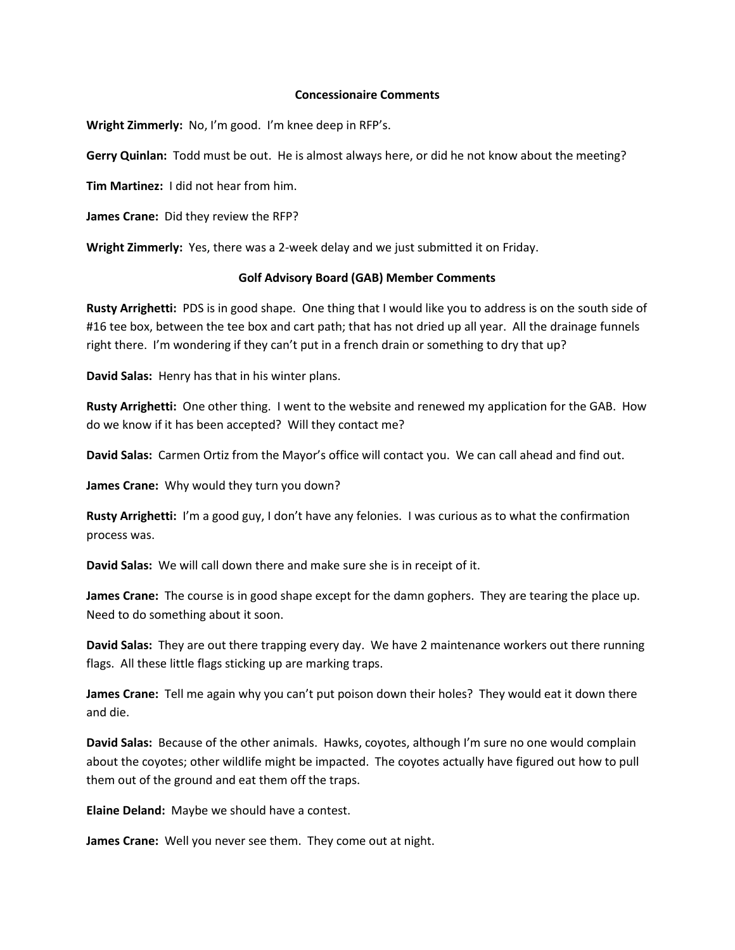#### **Concessionaire Comments**

**Wright Zimmerly:** No, I'm good. I'm knee deep in RFP's.

**Gerry Quinlan:** Todd must be out. He is almost always here, or did he not know about the meeting?

**Tim Martinez:** I did not hear from him.

**James Crane:** Did they review the RFP?

**Wright Zimmerly:** Yes, there was a 2-week delay and we just submitted it on Friday.

#### **Golf Advisory Board (GAB) Member Comments**

**Rusty Arrighetti:** PDS is in good shape. One thing that I would like you to address is on the south side of #16 tee box, between the tee box and cart path; that has not dried up all year. All the drainage funnels right there. I'm wondering if they can't put in a french drain or something to dry that up?

**David Salas:** Henry has that in his winter plans.

**Rusty Arrighetti:** One other thing. I went to the website and renewed my application for the GAB. How do we know if it has been accepted? Will they contact me?

**David Salas:** Carmen Ortiz from the Mayor's office will contact you. We can call ahead and find out.

**James Crane:** Why would they turn you down?

**Rusty Arrighetti:** I'm a good guy, I don't have any felonies. I was curious as to what the confirmation process was.

**David Salas:** We will call down there and make sure she is in receipt of it.

**James Crane:** The course is in good shape except for the damn gophers. They are tearing the place up. Need to do something about it soon.

**David Salas:** They are out there trapping every day. We have 2 maintenance workers out there running flags. All these little flags sticking up are marking traps.

**James Crane:** Tell me again why you can't put poison down their holes? They would eat it down there and die.

**David Salas:** Because of the other animals. Hawks, coyotes, although I'm sure no one would complain about the coyotes; other wildlife might be impacted. The coyotes actually have figured out how to pull them out of the ground and eat them off the traps.

**Elaine Deland:** Maybe we should have a contest.

**James Crane:** Well you never see them. They come out at night.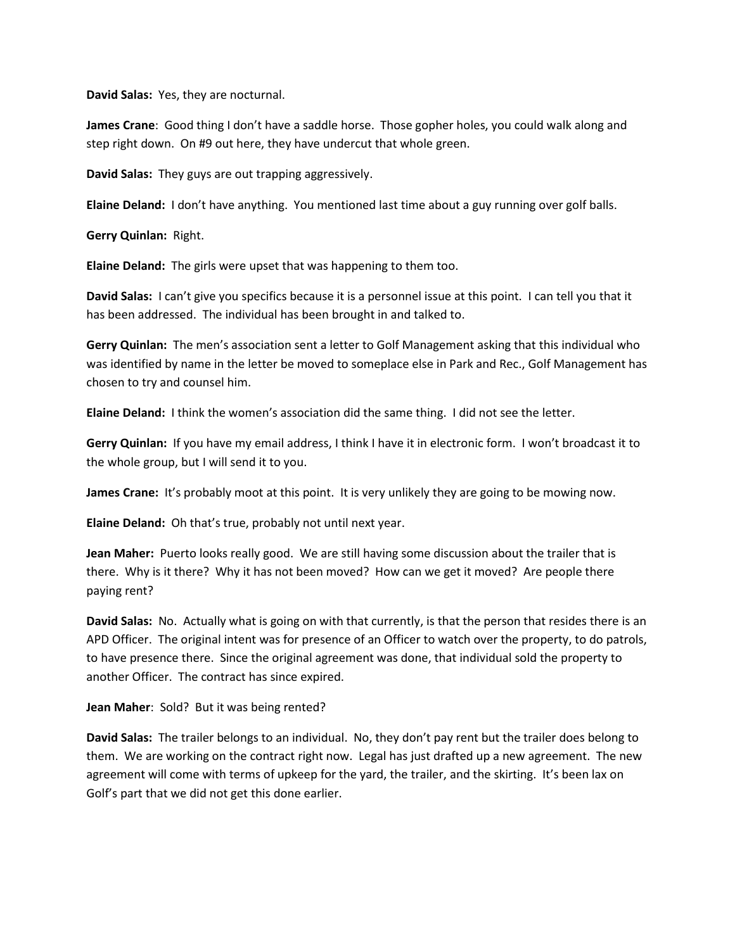**David Salas:** Yes, they are nocturnal.

**James Crane**: Good thing I don't have a saddle horse. Those gopher holes, you could walk along and step right down. On #9 out here, they have undercut that whole green.

**David Salas:** They guys are out trapping aggressively.

**Elaine Deland:** I don't have anything. You mentioned last time about a guy running over golf balls.

**Gerry Quinlan:** Right.

**Elaine Deland:** The girls were upset that was happening to them too.

**David Salas:** I can't give you specifics because it is a personnel issue at this point. I can tell you that it has been addressed. The individual has been brought in and talked to.

**Gerry Quinlan:** The men's association sent a letter to Golf Management asking that this individual who was identified by name in the letter be moved to someplace else in Park and Rec., Golf Management has chosen to try and counsel him.

**Elaine Deland:** I think the women's association did the same thing. I did not see the letter.

**Gerry Quinlan:** If you have my email address, I think I have it in electronic form. I won't broadcast it to the whole group, but I will send it to you.

**James Crane:** It's probably moot at this point. It is very unlikely they are going to be mowing now.

**Elaine Deland:** Oh that's true, probably not until next year.

**Jean Maher:** Puerto looks really good. We are still having some discussion about the trailer that is there. Why is it there? Why it has not been moved? How can we get it moved? Are people there paying rent?

**David Salas:** No. Actually what is going on with that currently, is that the person that resides there is an APD Officer. The original intent was for presence of an Officer to watch over the property, to do patrols, to have presence there. Since the original agreement was done, that individual sold the property to another Officer. The contract has since expired.

**Jean Maher**: Sold? But it was being rented?

**David Salas:** The trailer belongs to an individual. No, they don't pay rent but the trailer does belong to them. We are working on the contract right now. Legal has just drafted up a new agreement. The new agreement will come with terms of upkeep for the yard, the trailer, and the skirting. It's been lax on Golf's part that we did not get this done earlier.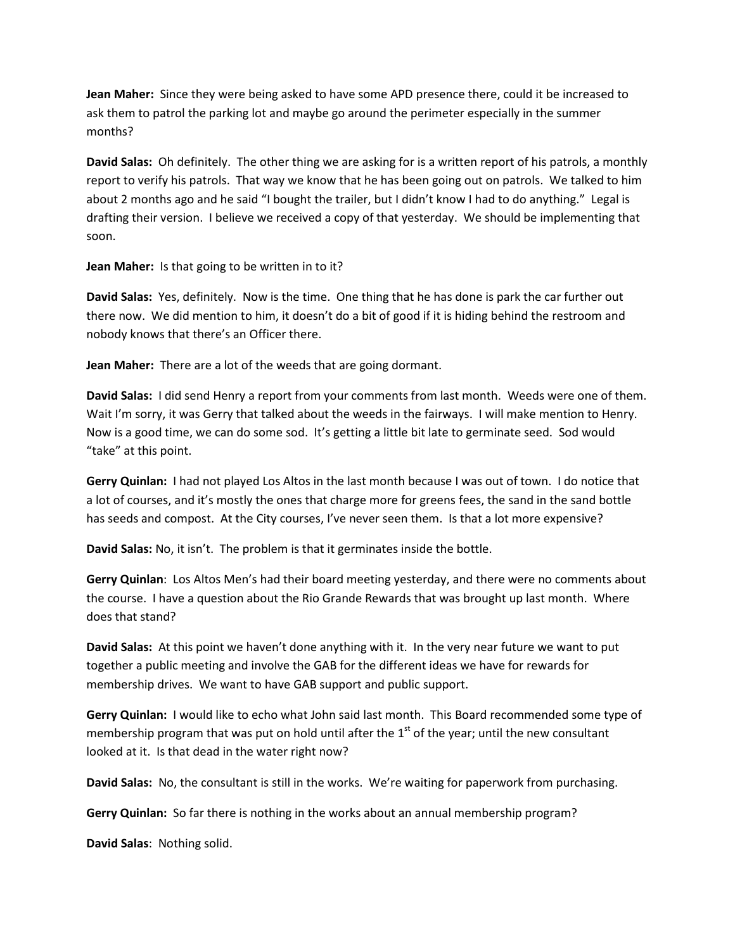**Jean Maher:** Since they were being asked to have some APD presence there, could it be increased to ask them to patrol the parking lot and maybe go around the perimeter especially in the summer months?

**David Salas:** Oh definitely. The other thing we are asking for is a written report of his patrols, a monthly report to verify his patrols. That way we know that he has been going out on patrols. We talked to him about 2 months ago and he said "I bought the trailer, but I didn't know I had to do anything." Legal is drafting their version. I believe we received a copy of that yesterday. We should be implementing that soon.

**Jean Maher:** Is that going to be written in to it?

**David Salas:** Yes, definitely. Now is the time. One thing that he has done is park the car further out there now. We did mention to him, it doesn't do a bit of good if it is hiding behind the restroom and nobody knows that there's an Officer there.

**Jean Maher:** There are a lot of the weeds that are going dormant.

**David Salas:** I did send Henry a report from your comments from last month. Weeds were one of them. Wait I'm sorry, it was Gerry that talked about the weeds in the fairways. I will make mention to Henry. Now is a good time, we can do some sod. It's getting a little bit late to germinate seed. Sod would "take" at this point.

**Gerry Quinlan:** I had not played Los Altos in the last month because I was out of town. I do notice that a lot of courses, and it's mostly the ones that charge more for greens fees, the sand in the sand bottle has seeds and compost. At the City courses, I've never seen them. Is that a lot more expensive?

**David Salas:** No, it isn't. The problem is that it germinates inside the bottle.

**Gerry Quinlan**: Los Altos Men's had their board meeting yesterday, and there were no comments about the course. I have a question about the Rio Grande Rewards that was brought up last month. Where does that stand?

**David Salas:** At this point we haven't done anything with it. In the very near future we want to put together a public meeting and involve the GAB for the different ideas we have for rewards for membership drives. We want to have GAB support and public support.

**Gerry Quinlan:** I would like to echo what John said last month. This Board recommended some type of membership program that was put on hold until after the  $1<sup>st</sup>$  of the year; until the new consultant looked at it. Is that dead in the water right now?

**David Salas:** No, the consultant is still in the works. We're waiting for paperwork from purchasing.

**Gerry Quinlan:** So far there is nothing in the works about an annual membership program?

**David Salas**: Nothing solid.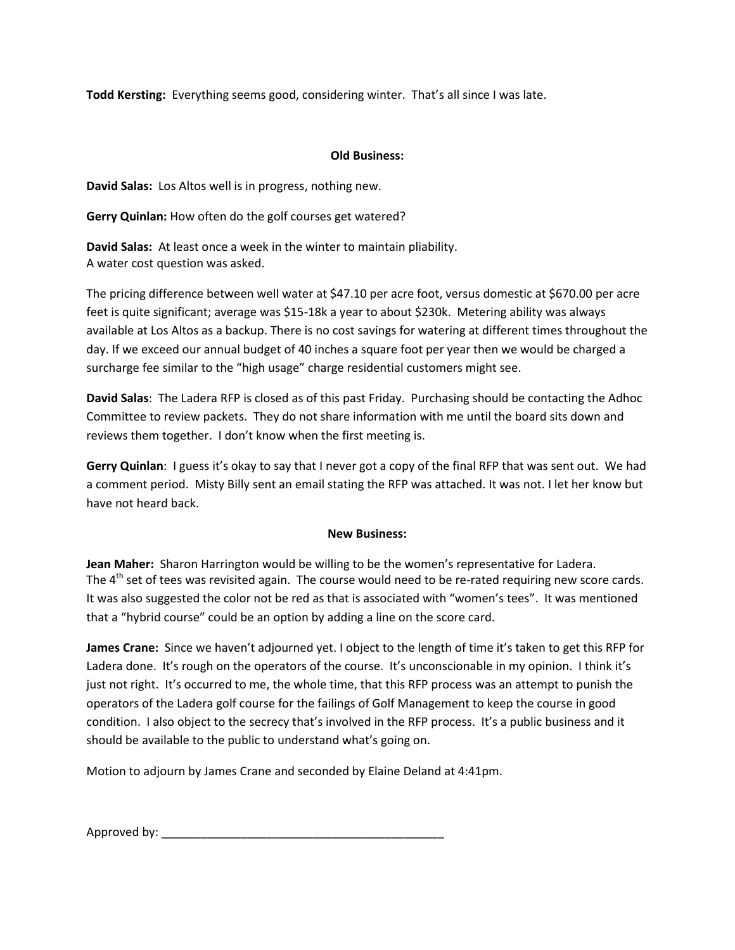**Todd Kersting:** Everything seems good, considering winter. That's all since I was late.

## **Old Business:**

**David Salas:** Los Altos well is in progress, nothing new.

**Gerry Quinlan:** How often do the golf courses get watered?

**David Salas:** At least once a week in the winter to maintain pliability. A water cost question was asked.

The pricing difference between well water at \$47.10 per acre foot, versus domestic at \$670.00 per acre feet is quite significant; average was \$15-18k a year to about \$230k. Metering ability was always available at Los Altos as a backup. There is no cost savings for watering at different times throughout the day. If we exceed our annual budget of 40 inches a square foot per year then we would be charged a surcharge fee similar to the "high usage" charge residential customers might see.

**David Salas**: The Ladera RFP is closed as of this past Friday. Purchasing should be contacting the Adhoc Committee to review packets. They do not share information with me until the board sits down and reviews them together. I don't know when the first meeting is.

**Gerry Quinlan**: I guess it's okay to say that I never got a copy of the final RFP that was sent out. We had a comment period. Misty Billy sent an email stating the RFP was attached. It was not. I let her know but have not heard back.

## **New Business:**

**Jean Maher:** Sharon Harrington would be willing to be the women's representative for Ladera. The  $4<sup>th</sup>$  set of tees was revisited again. The course would need to be re-rated requiring new score cards. It was also suggested the color not be red as that is associated with "women's tees". It was mentioned that a "hybrid course" could be an option by adding a line on the score card.

**James Crane:** Since we haven't adjourned yet. I object to the length of time it's taken to get this RFP for Ladera done. It's rough on the operators of the course. It's unconscionable in my opinion. I think it's just not right. It's occurred to me, the whole time, that this RFP process was an attempt to punish the operators of the Ladera golf course for the failings of Golf Management to keep the course in good condition. I also object to the secrecy that's involved in the RFP process. It's a public business and it should be available to the public to understand what's going on.

Motion to adjourn by James Crane and seconded by Elaine Deland at 4:41pm.

Approved by:  $\blacksquare$